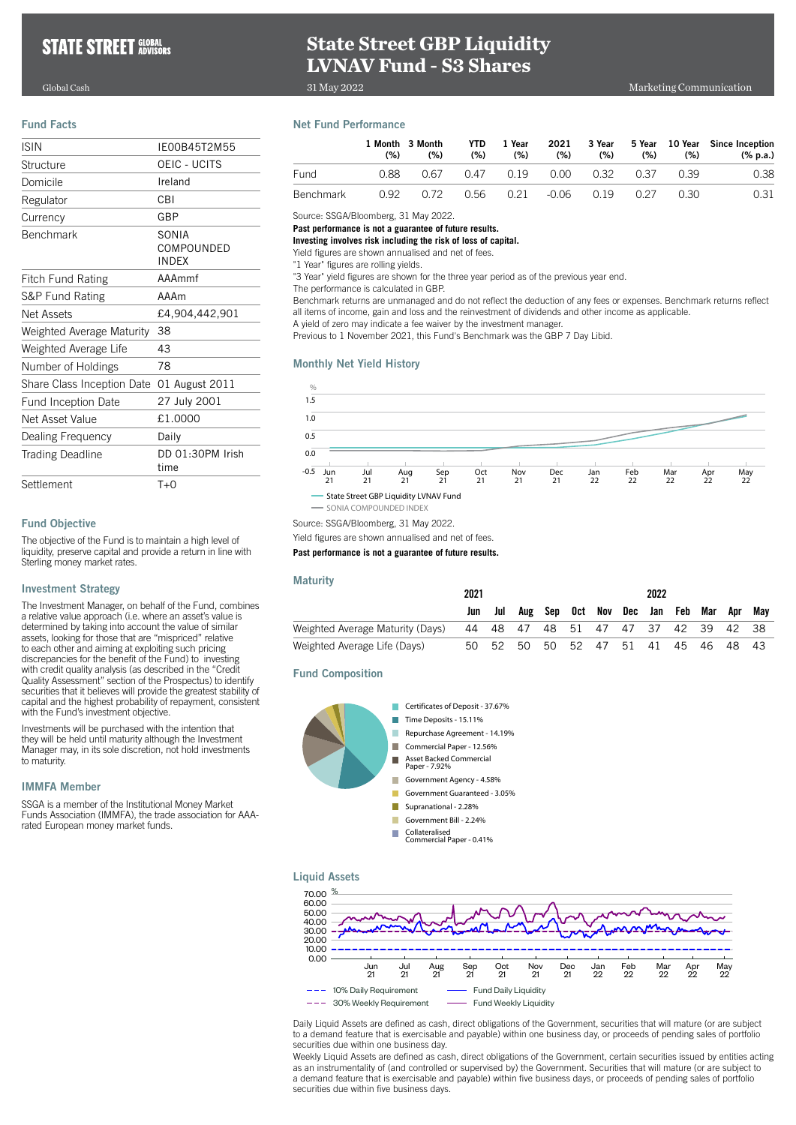# **State Street GBP Liquidity LVNAV Fund - S3 Shares**

31 May 2022

#### Fund Facts

| <b>ISIN</b>                | IF00B45T2M55                        |
|----------------------------|-------------------------------------|
| Structure                  | OEIC - UCITS                        |
| Domicile                   | Ireland                             |
| Regulator                  | <b>CBI</b>                          |
| Currency                   | GBP                                 |
| <b>Benchmark</b>           | SONIA<br>COMPOUNDED<br><b>INDFX</b> |
| <b>Fitch Fund Rating</b>   | AAAmmf                              |
| S&P Fund Rating            | AAAm                                |
| Net Assets                 | £4,904,442,901                      |
| Weighted Average Maturity  | 38                                  |
| Weighted Average Life      | 43                                  |
| Number of Holdings         | 78                                  |
| Share Class Inception Date | 01 August 2011                      |
| <b>Fund Inception Date</b> | 27 July 2001                        |
| Net Asset Value            | £1.0000                             |
| Dealing Frequency          | Daily                               |
| <b>Trading Deadline</b>    | DD 01:30PM Irish<br>time            |
| Settlement                 | $T+0$                               |

### Fund Objective

The objective of the Fund is to maintain a high level of liquidity, preserve capital and provide a return in line with Sterling money market rates.

#### Investment Strategy

The Investment Manager, on behalf of the Fund, combines a relative value approach (i.e. where an asset's value is determined by taking into account the value of similar assets, looking for those that are "mispriced" relative to each other and aiming at exploiting such pricing discrepancies for the benefit of the Fund) to investing with credit quality analysis (as described in the "Credit Quality Assessment" section of the Prospectus) to identify securities that it believes will provide the greatest stability of capital and the highest probability of repayment, consistent with the Fund's investment objective.

Investments will be purchased with the intention that they will be held until maturity although the Investment Manager may, in its sole discretion, not hold investments to maturity.

# IMMFA Member

SSGA is a member of the Institutional Money Market Funds Association (IMMFA), the trade association for AAArated European money market funds.

## Net Fund Performance

|                  | (% ) | 1 Month 3 Month<br>(% ) | YTD.<br>(% ) | 1 Year<br>(%)                      | 2021<br>(%) | (%) | (%) | $(\% )$ | 3 Year 5 Year 10 Year Since Inception<br>(% p.a.) |
|------------------|------|-------------------------|--------------|------------------------------------|-------------|-----|-----|---------|---------------------------------------------------|
| <b>Fund</b>      | 0.88 | 0.67                    |              | 0.47 0.19                          | 0.00        |     |     | 0.39    | 0.38                                              |
| <b>Benchmark</b> |      | 0.92 0.72               |              | $0.56$ $0.21$ $0.06$ $0.19$ $0.27$ |             |     |     | 0.30    | 0.31                                              |

Source: SSGA/Bloomberg, 31 May 2022.

#### **Past performance is not a guarantee of future results.**

**Investing involves risk including the risk of loss of capital.**

Yield figures are shown annualised and net of fees.

"1 Year" figures are rolling yields.

"3 Year" yield figures are shown for the three year period as of the previous year end.

The performance is calculated in GBP.

Benchmark returns are unmanaged and do not reflect the deduction of any fees or expenses. Benchmark returns reflect all items of income, gain and loss and the reinvestment of dividends and other income as applicable.

A yield of zero may indicate a fee waiver by the investment manager.

Previous to 1 November 2021, this Fund's Benchmark was the GBP 7 Day Libid.

#### Monthly Net Yield History



Source: SSGA/Bloomberg, 31 May 2022.

Yield figures are shown annualised and net of fees.

#### **Past performance is not a guarantee of future results.**

#### **Maturity**

|                                  | 2021 |          |  | 2022 |                               |  |  |  |     |     |     |
|----------------------------------|------|----------|--|------|-------------------------------|--|--|--|-----|-----|-----|
|                                  |      | Jul      |  |      | Aug Sep Oct Nov Dec Jan Feb   |  |  |  | Mar | Apr | Mav |
| Weighted Average Maturity (Days) |      | 44 48 47 |  |      | 48 51 47 47 37 42 39 42 38    |  |  |  |     |     |     |
| Weighted Average Life (Days)     | 50.  | .52      |  |      | 50 50 52 47 51 41 45 46 48 43 |  |  |  |     |     |     |

Fund Composition







Daily Liquid Assets are defined as cash, direct obligations of the Government, securities that will mature (or are subject to a demand feature that is exercisable and payable) within one business day, or proceeds of pending sales of portfolio securities due within one business day.

May<br>22

Weekly Liquid Assets are defined as cash, direct obligations of the Government, certain securities issued by entities acting as an instrumentality of (and controlled or supervised by) the Government. Securities that will mature (or are subject to a demand feature that is exercisable and payable) within five business days, or proceeds of pending sales of portfolio securities due within five business days.